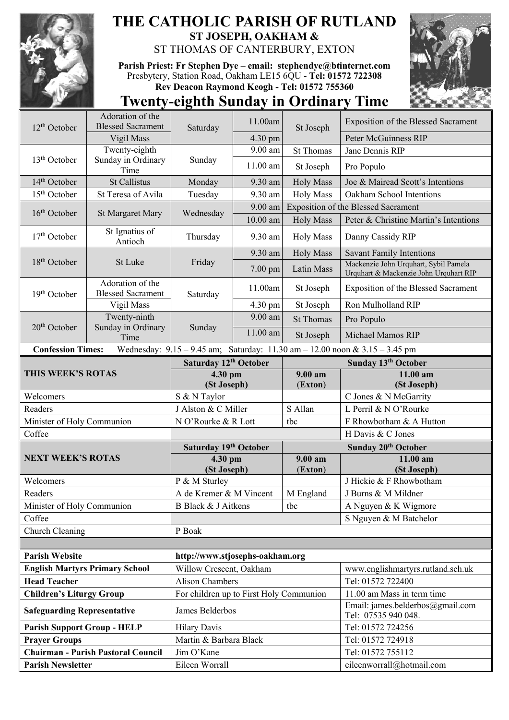

## **THE CATHOLIC PARISH OF RUTLAND ST JOSEPH, OAKHAM &**  ST THOMAS OF CANTERBURY, EXTON

**Parish Priest: Fr Stephen Dye** – **[email: stephendye@btinternet.com](mailto:email:%20%20stephendye@btinternet.com)** Presbytery, Station Road, Oakham LE15 6QU - **Tel: 01572 722308 Rev Deacon Raymond Keogh - Tel: 01572 755360**



## **Twenty-eighth Sunday in Ordinary Time**

| $12th$ October                                                                                          | Adoration of the<br><b>Blessed Sacrament</b> | Saturday                                                   | 11.00am               | St Joseph        | Exposition of the Blessed Sacrament                                             |  |
|---------------------------------------------------------------------------------------------------------|----------------------------------------------|------------------------------------------------------------|-----------------------|------------------|---------------------------------------------------------------------------------|--|
|                                                                                                         | Vigil Mass                                   |                                                            | 4.30 pm               |                  | Peter McGuinness RIP                                                            |  |
| 13 <sup>th</sup> October                                                                                | Twenty-eighth<br>Sunday in Ordinary<br>Time  | Sunday                                                     | 9.00 am               | <b>St Thomas</b> | Jane Dennis RIP                                                                 |  |
|                                                                                                         |                                              |                                                            | 11.00 am              | St Joseph        | Pro Populo                                                                      |  |
| 14 <sup>th</sup> October                                                                                | <b>St Callistus</b>                          | Monday                                                     | 9.30 am               | <b>Holy Mass</b> | Joe & Mairead Scott's Intentions                                                |  |
| $15th$ October                                                                                          | St Teresa of Avila                           | Tuesday                                                    | 9.30 am               | <b>Holy Mass</b> | Oakham School Intentions                                                        |  |
| 16 <sup>th</sup> October                                                                                | <b>St Margaret Mary</b>                      | Wednesday                                                  | 9.00 am               |                  | Exposition of the Blessed Sacrament                                             |  |
|                                                                                                         |                                              |                                                            | 10.00 am              | <b>Holy Mass</b> | Peter & Christine Martin's Intentions                                           |  |
| 17 <sup>th</sup> October                                                                                | St Ignatius of<br>Antioch                    | Thursday                                                   | 9.30 am               | <b>Holy Mass</b> | Danny Cassidy RIP                                                               |  |
|                                                                                                         |                                              |                                                            | 9.30 am               | <b>Holy Mass</b> | <b>Savant Family Intentions</b>                                                 |  |
| 18 <sup>th</sup> October                                                                                | St Luke                                      | Friday                                                     | 7.00 pm               | Latin Mass       | Mackenzie John Urquhart, Sybil Pamela<br>Urquhart & Mackenzie John Urquhart RIP |  |
| 19th October                                                                                            | Adoration of the<br><b>Blessed Sacrament</b> | Saturday                                                   | 11.00am               | St Joseph        | Exposition of the Blessed Sacrament                                             |  |
|                                                                                                         | Vigil Mass                                   |                                                            | 4.30 pm               | St Joseph        | Ron Mulholland RIP                                                              |  |
| 20 <sup>th</sup> October                                                                                | Twenty-ninth                                 | Sunday                                                     | 9.00 am               | <b>St Thomas</b> | Pro Populo                                                                      |  |
|                                                                                                         | Sunday in Ordinary<br>Time                   |                                                            | $11.00$ am            | St Joseph        | Michael Mamos RIP                                                               |  |
| Wednesday: 9.15 - 9.45 am; Saturday: 11.30 am - 12.00 noon & 3.15 - 3.45 pm<br><b>Confession Times:</b> |                                              |                                                            |                       |                  |                                                                                 |  |
|                                                                                                         |                                              | Saturday 12th October                                      |                       |                  | Sunday 13th October                                                             |  |
| THIS WEEK'S ROTAS                                                                                       |                                              | 4.30 pm                                                    |                       | 9.00 am          | 11.00 am                                                                        |  |
| Welcomers                                                                                               |                                              | (St Joseph)<br>S & N Taylor                                |                       | (Exton)          | (St Joseph)<br>C Jones & N McGarrity                                            |  |
| Readers                                                                                                 |                                              | J Alston & C Miller                                        |                       | S Allan          | L Perril & N O'Rourke                                                           |  |
| Minister of Holy Communion                                                                              |                                              | N O'Rourke & R Lott                                        |                       | tbc              | F Rhowbotham & A Hutton                                                         |  |
| Coffee                                                                                                  |                                              |                                                            |                       |                  | H Davis & C Jones                                                               |  |
|                                                                                                         |                                              |                                                            | Saturday 19th October |                  |                                                                                 |  |
|                                                                                                         |                                              |                                                            |                       |                  |                                                                                 |  |
| <b>NEXT WEEK'S ROTAS</b>                                                                                |                                              | 4.30 pm                                                    |                       | 9.00 am          | Sunday 20th October<br>$11.00$ am                                               |  |
|                                                                                                         |                                              | (St Joseph)                                                |                       | (Exton)          | (St Joseph)                                                                     |  |
| Welcomers                                                                                               |                                              | P & M Sturley                                              |                       |                  | J Hickie & F Rhowbotham                                                         |  |
| Readers                                                                                                 |                                              | A de Kremer & M Vincent                                    |                       | M England        | J Burns & M Mildner                                                             |  |
| Minister of Holy Communion                                                                              |                                              | B Black & J Aitkens                                        |                       | tbc              | A Nguyen & K Wigmore                                                            |  |
| Coffee                                                                                                  |                                              |                                                            |                       |                  | S Nguyen & M Batchelor                                                          |  |
| Church Cleaning                                                                                         |                                              | P Boak                                                     |                       |                  |                                                                                 |  |
|                                                                                                         |                                              |                                                            |                       |                  |                                                                                 |  |
| <b>Parish Website</b>                                                                                   |                                              | http://www.stjosephs-oakham.org                            |                       |                  |                                                                                 |  |
|                                                                                                         | <b>English Martyrs Primary School</b>        | Willow Crescent, Oakham                                    |                       |                  | www.englishmartyrs.rutland.sch.uk                                               |  |
| <b>Head Teacher</b>                                                                                     |                                              | <b>Alison Chambers</b>                                     |                       |                  | Tel: 01572 722400                                                               |  |
| <b>Children's Liturgy Group</b><br><b>Safeguarding Representative</b>                                   |                                              | For children up to First Holy Communion<br>James Belderbos |                       |                  | 11.00 am Mass in term time<br>Email: james.belderbos@gmail.com                  |  |
| <b>Parish Support Group - HELP</b>                                                                      |                                              | <b>Hilary Davis</b>                                        |                       |                  | Tel: 07535 940 048.<br>Tel: 01572 724256                                        |  |
|                                                                                                         |                                              | Martin & Barbara Black                                     |                       |                  | Tel: 01572 724918                                                               |  |
| <b>Prayer Groups</b>                                                                                    | <b>Chairman - Parish Pastoral Council</b>    | Jim O'Kane                                                 |                       |                  | Tel: 01572 755112                                                               |  |